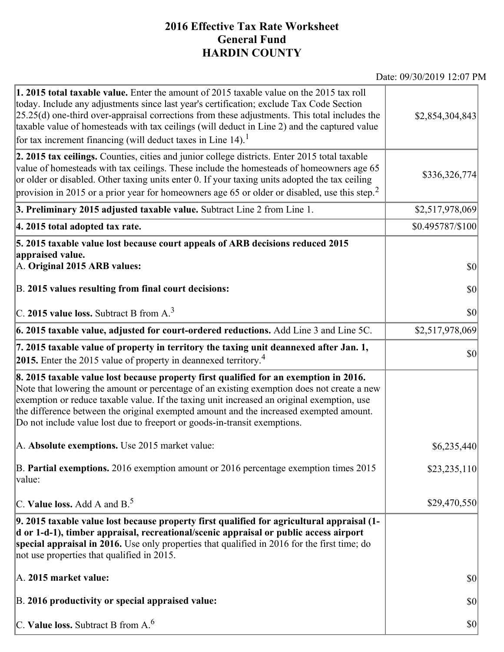## **2016 Effective Tax Rate Worksheet General Fund HARDIN COUNTY**

Date: 09/30/2019 12:07 PM

| 1. 2015 total taxable value. Enter the amount of 2015 taxable value on the 2015 tax roll<br>today. Include any adjustments since last year's certification; exclude Tax Code Section<br>[25.25(d) one-third over-appraisal corrections from these adjustments. This total includes the<br>taxable value of homesteads with tax ceilings (will deduct in Line 2) and the captured value<br>for tax increment financing (will deduct taxes in Line $14$ ). <sup>1</sup> | \$2,854,304,843  |
|-----------------------------------------------------------------------------------------------------------------------------------------------------------------------------------------------------------------------------------------------------------------------------------------------------------------------------------------------------------------------------------------------------------------------------------------------------------------------|------------------|
| 2. 2015 tax ceilings. Counties, cities and junior college districts. Enter 2015 total taxable<br>value of homesteads with tax ceilings. These include the homesteads of homeowners age 65<br>or older or disabled. Other taxing units enter 0. If your taxing units adopted the tax ceiling<br>provision in 2015 or a prior year for homeowners age 65 or older or disabled, use this step. <sup>2</sup>                                                              | \$336,326,774    |
| 3. Preliminary 2015 adjusted taxable value. Subtract Line 2 from Line 1.                                                                                                                                                                                                                                                                                                                                                                                              | \$2,517,978,069  |
| 4. 2015 total adopted tax rate.                                                                                                                                                                                                                                                                                                                                                                                                                                       | \$0.495787/\$100 |
| 5. 2015 taxable value lost because court appeals of ARB decisions reduced 2015<br>appraised value.                                                                                                                                                                                                                                                                                                                                                                    |                  |
| A. Original 2015 ARB values:                                                                                                                                                                                                                                                                                                                                                                                                                                          | $ 10\rangle$     |
| B. 2015 values resulting from final court decisions:                                                                                                                                                                                                                                                                                                                                                                                                                  | $ 10\rangle$     |
| C. 2015 value loss. Subtract B from $A3$                                                                                                                                                                                                                                                                                                                                                                                                                              | $ 10\rangle$     |
| $\vert$ 6. 2015 taxable value, adjusted for court-ordered reductions. Add Line 3 and Line 5C.                                                                                                                                                                                                                                                                                                                                                                         | \$2,517,978,069  |
| 7. 2015 taxable value of property in territory the taxing unit deannexed after Jan. 1,<br><b>2015.</b> Enter the 2015 value of property in deannexed territory. <sup>4</sup>                                                                                                                                                                                                                                                                                          | $ 10\rangle$     |
| 8. 2015 taxable value lost because property first qualified for an exemption in 2016.<br>Note that lowering the amount or percentage of an existing exemption does not create a new<br>exemption or reduce taxable value. If the taxing unit increased an original exemption, use<br>the difference between the original exempted amount and the increased exempted amount.<br>Do not include value lost due to freeport or goods-in-transit exemptions.              |                  |
| A. Absolute exemptions. Use 2015 market value:                                                                                                                                                                                                                                                                                                                                                                                                                        | \$6,235,440      |
| B. Partial exemptions. 2016 exemption amount or 2016 percentage exemption times 2015<br>value:                                                                                                                                                                                                                                                                                                                                                                        | \$23,235,110     |
| C. Value loss. Add A and $B^5$ .                                                                                                                                                                                                                                                                                                                                                                                                                                      | \$29,470,550     |
| 9. 2015 taxable value lost because property first qualified for agricultural appraisal (1-<br>d or 1-d-1), timber appraisal, recreational/scenic appraisal or public access airport<br>special appraisal in 2016. Use only properties that qualified in 2016 for the first time; do<br>not use properties that qualified in 2015.                                                                                                                                     |                  |
| A. 2015 market value:                                                                                                                                                                                                                                                                                                                                                                                                                                                 | $ 10\rangle$     |
| B. 2016 productivity or special appraised value:                                                                                                                                                                                                                                                                                                                                                                                                                      | \$0              |
| C. Value loss. Subtract B from $A6$                                                                                                                                                                                                                                                                                                                                                                                                                                   | $ 10\rangle$     |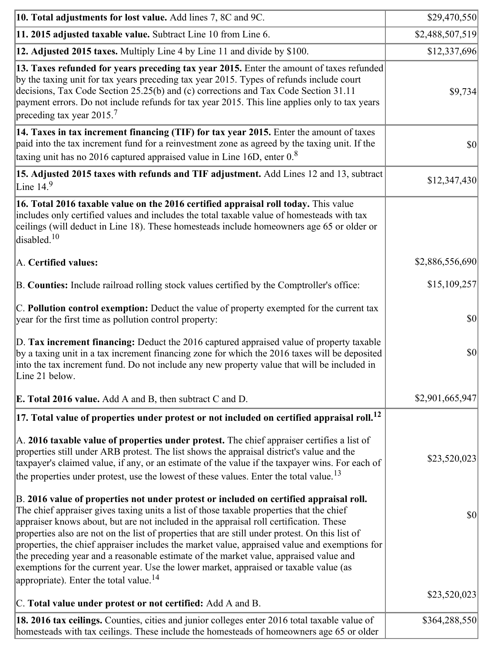| 10. Total adjustments for lost value. Add lines 7, 8C and 9C.                                                                                                                                                                                                                                                                                                                                                                                                                                                                                                                                                                                                                                                            | \$29,470,550    |
|--------------------------------------------------------------------------------------------------------------------------------------------------------------------------------------------------------------------------------------------------------------------------------------------------------------------------------------------------------------------------------------------------------------------------------------------------------------------------------------------------------------------------------------------------------------------------------------------------------------------------------------------------------------------------------------------------------------------------|-----------------|
| 11. 2015 adjusted taxable value. Subtract Line 10 from Line 6.                                                                                                                                                                                                                                                                                                                                                                                                                                                                                                                                                                                                                                                           | \$2,488,507,519 |
| 12. Adjusted 2015 taxes. Multiply Line 4 by Line 11 and divide by \$100.                                                                                                                                                                                                                                                                                                                                                                                                                                                                                                                                                                                                                                                 | \$12,337,696    |
| 13. Taxes refunded for years preceding tax year 2015. Enter the amount of taxes refunded<br>by the taxing unit for tax years preceding tax year 2015. Types of refunds include court<br>decisions, Tax Code Section 25.25(b) and (c) corrections and Tax Code Section 31.11<br>payment errors. Do not include refunds for tax year 2015. This line applies only to tax years<br>preceding tax year $2015$ . <sup>7</sup>                                                                                                                                                                                                                                                                                                 | \$9,734         |
| 14. Taxes in tax increment financing (TIF) for tax year 2015. Enter the amount of taxes<br>paid into the tax increment fund for a reinvestment zone as agreed by the taxing unit. If the<br>taxing unit has no 2016 captured appraised value in Line 16D, enter $08$                                                                                                                                                                                                                                                                                                                                                                                                                                                     | $ 10\rangle$    |
| 15. Adjusted 2015 taxes with refunds and TIF adjustment. Add Lines 12 and 13, subtract<br>Line $149$                                                                                                                                                                                                                                                                                                                                                                                                                                                                                                                                                                                                                     | \$12,347,430    |
| 16. Total 2016 taxable value on the 2016 certified appraisal roll today. This value<br>includes only certified values and includes the total taxable value of homesteads with tax<br>ceilings (will deduct in Line 18). These homesteads include homeowners age 65 or older or<br>disabled. <sup>10</sup>                                                                                                                                                                                                                                                                                                                                                                                                                |                 |
| A. Certified values:                                                                                                                                                                                                                                                                                                                                                                                                                                                                                                                                                                                                                                                                                                     | \$2,886,556,690 |
| B. Counties: Include railroad rolling stock values certified by the Comptroller's office:                                                                                                                                                                                                                                                                                                                                                                                                                                                                                                                                                                                                                                | \$15,109,257    |
| $ C$ . Pollution control exemption: Deduct the value of property exempted for the current tax<br>year for the first time as pollution control property:                                                                                                                                                                                                                                                                                                                                                                                                                                                                                                                                                                  | $ 10\rangle$    |
| D. Tax increment financing: Deduct the 2016 captured appraised value of property taxable<br>by a taxing unit in a tax increment financing zone for which the 2016 taxes will be deposited<br>into the tax increment fund. Do not include any new property value that will be included in<br>Line 21 below.                                                                                                                                                                                                                                                                                                                                                                                                               | \$0             |
| <b>E. Total 2016 value.</b> Add A and B, then subtract C and D.                                                                                                                                                                                                                                                                                                                                                                                                                                                                                                                                                                                                                                                          | \$2,901,665,947 |
| $ 17.$ Total value of properties under protest or not included on certified appraisal roll. $^{12}$                                                                                                                                                                                                                                                                                                                                                                                                                                                                                                                                                                                                                      |                 |
| A. 2016 taxable value of properties under protest. The chief appraiser certifies a list of<br>properties still under ARB protest. The list shows the appraisal district's value and the<br>taxpayer's claimed value, if any, or an estimate of the value if the taxpayer wins. For each of<br>the properties under protest, use the lowest of these values. Enter the total value. <sup>13</sup>                                                                                                                                                                                                                                                                                                                         | \$23,520,023    |
| B. 2016 value of properties not under protest or included on certified appraisal roll.<br>The chief appraiser gives taxing units a list of those taxable properties that the chief<br>appraiser knows about, but are not included in the appraisal roll certification. These<br>properties also are not on the list of properties that are still under protest. On this list of<br>properties, the chief appraiser includes the market value, appraised value and exemptions for<br>the preceding year and a reasonable estimate of the market value, appraised value and<br>exemptions for the current year. Use the lower market, appraised or taxable value (as<br>appropriate). Enter the total value. <sup>14</sup> | \$0             |
| C. Total value under protest or not certified: Add A and B.                                                                                                                                                                                                                                                                                                                                                                                                                                                                                                                                                                                                                                                              | \$23,520,023    |
| 18. 2016 tax ceilings. Counties, cities and junior colleges enter 2016 total taxable value of<br>homesteads with tax ceilings. These include the homesteads of homeowners age 65 or older                                                                                                                                                                                                                                                                                                                                                                                                                                                                                                                                | \$364,288,550   |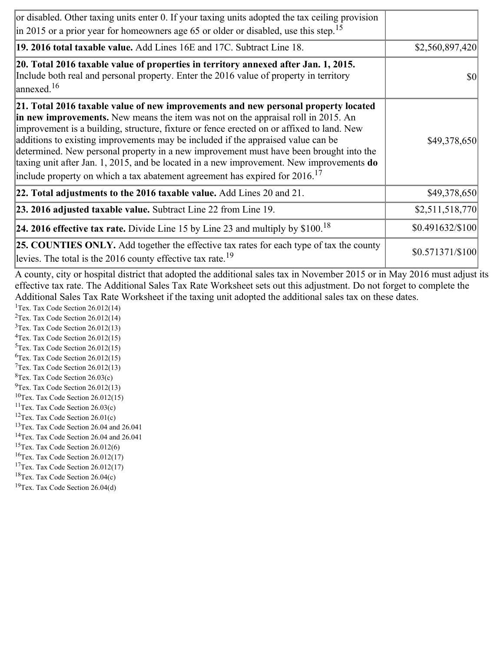| or disabled. Other taxing units enter 0. If your taxing units adopted the tax ceiling provision<br>$\left  \text{in } 2015 \text{ or a prior year for home owners age } 65 \text{ or older or disabled, use this step.} \right ^{15}$                                                                                                                                                                                                                                                                                                                                                                                                        |                  |
|----------------------------------------------------------------------------------------------------------------------------------------------------------------------------------------------------------------------------------------------------------------------------------------------------------------------------------------------------------------------------------------------------------------------------------------------------------------------------------------------------------------------------------------------------------------------------------------------------------------------------------------------|------------------|
| 19. 2016 total taxable value. Add Lines 16E and 17C. Subtract Line 18.                                                                                                                                                                                                                                                                                                                                                                                                                                                                                                                                                                       | \$2,560,897,420  |
| 20. Total 2016 taxable value of properties in territory annexed after Jan. 1, 2015.<br>Include both real and personal property. Enter the 2016 value of property in territory<br>$\vert$ annexed. <sup>16</sup>                                                                                                                                                                                                                                                                                                                                                                                                                              | \$0              |
| 21. Total 2016 taxable value of new improvements and new personal property located<br>in new improvements. New means the item was not on the appraisal roll in 2015. An<br>improvement is a building, structure, fixture or fence erected on or affixed to land. New<br>additions to existing improvements may be included if the appraised value can be<br>determined. New personal property in a new improvement must have been brought into the<br>taxing unit after Jan. 1, 2015, and be located in a new improvement. New improvements do<br>include property on which a tax abatement agreement has expired for $2016$ . <sup>17</sup> | \$49,378,650     |
| 22. Total adjustments to the 2016 taxable value. Add Lines 20 and 21.                                                                                                                                                                                                                                                                                                                                                                                                                                                                                                                                                                        | \$49,378,650     |
| 23. 2016 adjusted taxable value. Subtract Line 22 from Line 19.                                                                                                                                                                                                                                                                                                                                                                                                                                                                                                                                                                              | \$2,511,518,770  |
| <b>24. 2016 effective tax rate.</b> Divide Line 15 by Line 23 and multiply by $$100$ . <sup>18</sup>                                                                                                                                                                                                                                                                                                                                                                                                                                                                                                                                         | \$0.491632/\$100 |
| <b>25. COUNTIES ONLY.</b> Add together the effective tax rates for each type of tax the county<br>levies. The total is the $2016$ county effective tax rate. <sup>19</sup>                                                                                                                                                                                                                                                                                                                                                                                                                                                                   | \$0.571371/\$100 |

A county, city or hospital district that adopted the additional sales tax in November 2015 or in May 2016 must adjust its effective tax rate. The Additional Sales Tax Rate Worksheet sets out this adjustment. Do not forget to complete the Additional Sales Tax Rate Worksheet if the taxing unit adopted the additional sales tax on these dates.

<sup>1</sup>Tex. Tax Code Section  $26.012(14)$ <sup>2</sup>Tex. Tax Code Section  $26.012(14)$  $3$ Tex. Tax Code Section 26.012(13)  ${}^{4}$ Tex. Tax Code Section 26.012(15)  $5$ Tex. Tax Code Section 26.012(15)  ${}^{6}$ Tex. Tax Code Section 26.012(15)  $7$ Tex. Tax Code Section 26.012(13)  ${}^{8}$ Tex. Tax Code Section 26.03(c)

- $^{9}$ Tex. Tax Code Section 26.012(13)
- $10$ Tex. Tax Code Section 26.012(15)
- <sup>11</sup>Tex. Tax Code Section  $26.03(c)$
- <sup>12</sup>Tex. Tax Code Section  $26.01(c)$
- <sup>13</sup>Tex. Tax Code Section 26.04 and 26.041
- <sup>14</sup>Tex. Tax Code Section 26.04 and 26.041
- $15$ Tex. Tax Code Section 26.012(6)
- <sup>16</sup>Tex. Tax Code Section  $26.012(17)$
- <sup>17</sup>Tex. Tax Code Section  $26.012(17)$
- ${}^{18}$ Tex. Tax Code Section 26.04(c)
- <sup>19</sup>Tex. Tax Code Section 26.04(d)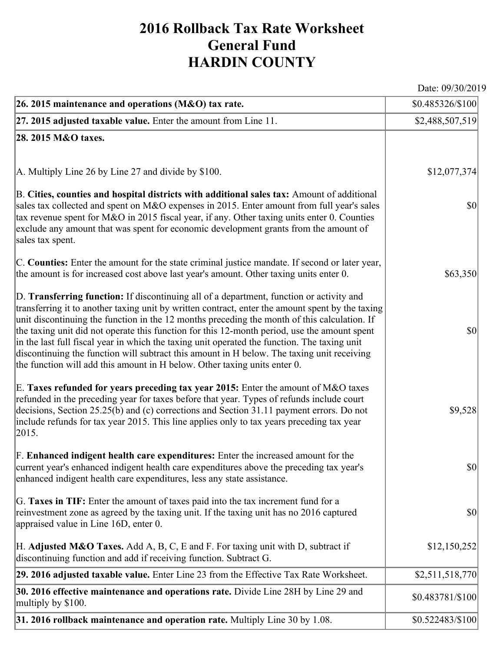## **2016 Rollback Tax Rate Worksheet General Fund HARDIN COUNTY**

Date: 09/30/2019

| 26. 2015 maintenance and operations (M&O) tax rate.                                                                                                                                                                                                                                                                                                                                                                                                                                                                                                                                                                                                                     | \$0.485326/\$100                    |
|-------------------------------------------------------------------------------------------------------------------------------------------------------------------------------------------------------------------------------------------------------------------------------------------------------------------------------------------------------------------------------------------------------------------------------------------------------------------------------------------------------------------------------------------------------------------------------------------------------------------------------------------------------------------------|-------------------------------------|
| $ 27.2015$ adjusted taxable value. Enter the amount from Line 11.                                                                                                                                                                                                                                                                                                                                                                                                                                                                                                                                                                                                       | \$2,488,507,519                     |
| 28. 2015 M&O taxes.                                                                                                                                                                                                                                                                                                                                                                                                                                                                                                                                                                                                                                                     |                                     |
|                                                                                                                                                                                                                                                                                                                                                                                                                                                                                                                                                                                                                                                                         |                                     |
| A. Multiply Line 26 by Line 27 and divide by $$100$ .                                                                                                                                                                                                                                                                                                                                                                                                                                                                                                                                                                                                                   | \$12,077,374                        |
| B. Cities, counties and hospital districts with additional sales tax: Amount of additional<br>sales tax collected and spent on M&O expenses in 2015. Enter amount from full year's sales<br>tax revenue spent for M&O in 2015 fiscal year, if any. Other taxing units enter 0. Counties<br>exclude any amount that was spent for economic development grants from the amount of<br>sales tax spent.                                                                                                                                                                                                                                                                     | $ 10\rangle$                        |
| C. Counties: Enter the amount for the state criminal justice mandate. If second or later year,<br>the amount is for increased cost above last year's amount. Other taxing units enter 0.                                                                                                                                                                                                                                                                                                                                                                                                                                                                                | \$63,350                            |
| D. Transferring function: If discontinuing all of a department, function or activity and<br>transferring it to another taxing unit by written contract, enter the amount spent by the taxing<br>unit discontinuing the function in the 12 months preceding the month of this calculation. If<br>the taxing unit did not operate this function for this 12-month period, use the amount spent<br>in the last full fiscal year in which the taxing unit operated the function. The taxing unit<br>discontinuing the function will subtract this amount in H below. The taxing unit receiving<br>the function will add this amount in H below. Other taxing units enter 0. | $ 10\rangle$                        |
| E. Taxes refunded for years preceding tax year 2015: Enter the amount of M&O taxes<br>refunded in the preceding year for taxes before that year. Types of refunds include court<br>decisions, Section 25.25(b) and (c) corrections and Section 31.11 payment errors. Do not<br>include refunds for tax year 2015. This line applies only to tax years preceding tax year<br> 2015.                                                                                                                                                                                                                                                                                      | \$9,528                             |
| F. Enhanced indigent health care expenditures: Enter the increased amount for the<br>current year's enhanced indigent health care expenditures above the preceding tax year's<br>enhanced indigent health care expenditures, less any state assistance.                                                                                                                                                                                                                                                                                                                                                                                                                 | $\vert \mathbf{S} \mathbf{O} \vert$ |
| G. Taxes in TIF: Enter the amount of taxes paid into the tax increment fund for a<br>reinvestment zone as agreed by the taxing unit. If the taxing unit has no 2016 captured<br>appraised value in Line 16D, enter 0.                                                                                                                                                                                                                                                                                                                                                                                                                                                   | $ 10\rangle$                        |
| H. Adjusted M&O Taxes. Add A, B, C, E and F. For taxing unit with D, subtract if<br>discontinuing function and add if receiving function. Subtract G.                                                                                                                                                                                                                                                                                                                                                                                                                                                                                                                   | \$12,150,252                        |
| 29. 2016 adjusted taxable value. Enter Line 23 from the Effective Tax Rate Worksheet.                                                                                                                                                                                                                                                                                                                                                                                                                                                                                                                                                                                   | \$2,511,518,770                     |
| 30. 2016 effective maintenance and operations rate. Divide Line 28H by Line 29 and<br>multiply by \$100.                                                                                                                                                                                                                                                                                                                                                                                                                                                                                                                                                                | \$0.483781/\$100                    |
| 31. 2016 rollback maintenance and operation rate. Multiply Line 30 by 1.08.                                                                                                                                                                                                                                                                                                                                                                                                                                                                                                                                                                                             | \$0.522483/\$100                    |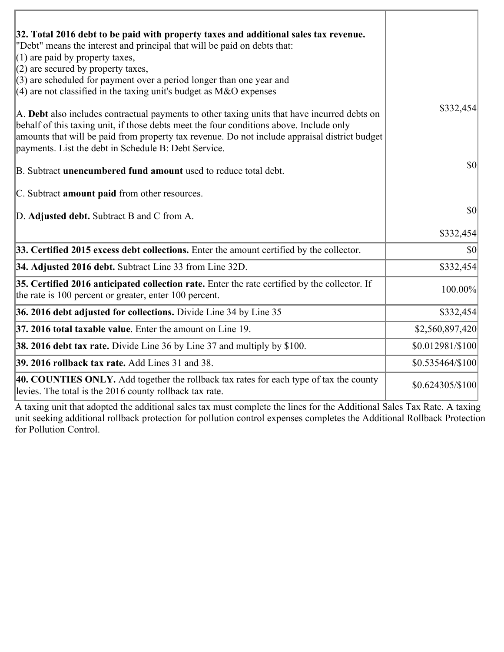| 32. Total 2016 debt to be paid with property taxes and additional sales tax revenue.<br>"Debt" means the interest and principal that will be paid on debts that:<br>$(1)$ are paid by property taxes,                                                                                                                                            |                  |
|--------------------------------------------------------------------------------------------------------------------------------------------------------------------------------------------------------------------------------------------------------------------------------------------------------------------------------------------------|------------------|
| $(2)$ are secured by property taxes,<br>$(3)$ are scheduled for payment over a period longer than one year and<br>(4) are not classified in the taxing unit's budget as $M&O$ expenses                                                                                                                                                           |                  |
| A. Debt also includes contractual payments to other taxing units that have incurred debts on<br>behalf of this taxing unit, if those debts meet the four conditions above. Include only<br>amounts that will be paid from property tax revenue. Do not include appraisal district budget<br>payments. List the debt in Schedule B: Debt Service. | \$332,454        |
| B. Subtract unencumbered fund amount used to reduce total debt.                                                                                                                                                                                                                                                                                  | 30               |
| C. Subtract <b>amount paid</b> from other resources.                                                                                                                                                                                                                                                                                             |                  |
| D. Adjusted debt. Subtract B and C from A.                                                                                                                                                                                                                                                                                                       | 30               |
|                                                                                                                                                                                                                                                                                                                                                  | \$332,454        |
| 33. Certified 2015 excess debt collections. Enter the amount certified by the collector.                                                                                                                                                                                                                                                         | $ 10\rangle$     |
| 34. Adjusted 2016 debt. Subtract Line 33 from Line 32D.                                                                                                                                                                                                                                                                                          | \$332,454        |
| 35. Certified 2016 anticipated collection rate. Enter the rate certified by the collector. If<br>the rate is 100 percent or greater, enter 100 percent.                                                                                                                                                                                          | 100.00%          |
| 36. 2016 debt adjusted for collections. Divide Line 34 by Line 35                                                                                                                                                                                                                                                                                | \$332,454        |
| 37. 2016 total taxable value. Enter the amount on Line 19.                                                                                                                                                                                                                                                                                       | \$2,560,897,420  |
| [38. 2016 debt tax rate. Divide Line 36 by Line 37 and multiply by \$100.                                                                                                                                                                                                                                                                        | \$0.012981/\$100 |
| <b>39. 2016 rollback tax rate.</b> Add Lines 31 and 38.                                                                                                                                                                                                                                                                                          | \$0.535464/\$100 |
| 40. COUNTIES ONLY. Add together the rollback tax rates for each type of tax the county<br>levies. The total is the 2016 county rollback tax rate.                                                                                                                                                                                                | \$0.624305/\$100 |

A taxing unit that adopted the additional sales tax must complete the lines for the Additional Sales Tax Rate. A taxing unit seeking additional rollback protection for pollution control expenses completes the Additional Rollback Protection for Pollution Control.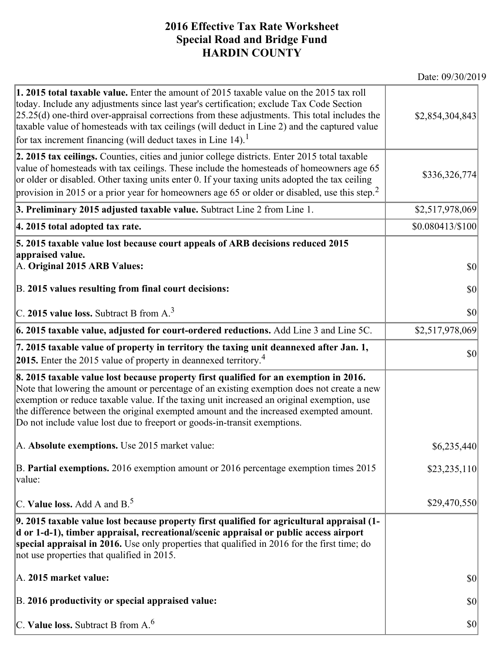## **2016 Effective Tax Rate Worksheet Special Road and Bridge Fund HARDIN COUNTY**

Date: 09/30/2019

| 1. 2015 total taxable value. Enter the amount of 2015 taxable value on the 2015 tax roll<br>today. Include any adjustments since last year's certification; exclude Tax Code Section<br>$[25.25(d)$ one-third over-appraisal corrections from these adjustments. This total includes the<br>taxable value of homesteads with tax ceilings (will deduct in Line 2) and the captured value<br>for tax increment financing (will deduct taxes in Line $14$ ). <sup>1</sup> | \$2,854,304,843  |
|-------------------------------------------------------------------------------------------------------------------------------------------------------------------------------------------------------------------------------------------------------------------------------------------------------------------------------------------------------------------------------------------------------------------------------------------------------------------------|------------------|
| 2. 2015 tax ceilings. Counties, cities and junior college districts. Enter 2015 total taxable<br>value of homesteads with tax ceilings. These include the homesteads of homeowners age 65<br>or older or disabled. Other taxing units enter 0. If your taxing units adopted the tax ceiling<br>provision in 2015 or a prior year for homeowners age 65 or older or disabled, use this step. <sup>2</sup>                                                                | \$336,326,774    |
| 3. Preliminary 2015 adjusted taxable value. Subtract Line 2 from Line 1.                                                                                                                                                                                                                                                                                                                                                                                                | \$2,517,978,069  |
| 4. 2015 total adopted tax rate.                                                                                                                                                                                                                                                                                                                                                                                                                                         | \$0.080413/\$100 |
| 5. 2015 taxable value lost because court appeals of ARB decisions reduced 2015                                                                                                                                                                                                                                                                                                                                                                                          |                  |
| appraised value.<br>A. Original 2015 ARB Values:                                                                                                                                                                                                                                                                                                                                                                                                                        | $ 10\rangle$     |
| B. 2015 values resulting from final court decisions:                                                                                                                                                                                                                                                                                                                                                                                                                    | \$0              |
| C. 2015 value loss. Subtract B from $A3$                                                                                                                                                                                                                                                                                                                                                                                                                                | \$0              |
| 6. 2015 taxable value, adjusted for court-ordered reductions. Add Line 3 and Line 5C.                                                                                                                                                                                                                                                                                                                                                                                   | \$2,517,978,069  |
| 7. 2015 taxable value of property in territory the taxing unit deannexed after Jan. 1,<br><b>2015.</b> Enter the 2015 value of property in deannexed territory. <sup>4</sup>                                                                                                                                                                                                                                                                                            | \$0              |
| 8. 2015 taxable value lost because property first qualified for an exemption in 2016.<br>Note that lowering the amount or percentage of an existing exemption does not create a new<br>exemption or reduce taxable value. If the taxing unit increased an original exemption, use<br>the difference between the original exempted amount and the increased exempted amount.<br>Do not include value lost due to freeport or goods-in-transit exemptions.                |                  |
| A. Absolute exemptions. Use 2015 market value:                                                                                                                                                                                                                                                                                                                                                                                                                          | \$6,235,440      |
| B. Partial exemptions. 2016 exemption amount or 2016 percentage exemption times 2015<br>value:                                                                                                                                                                                                                                                                                                                                                                          | \$23,235,110     |
| $ C$ . Value loss. Add A and B. <sup>5</sup>                                                                                                                                                                                                                                                                                                                                                                                                                            | \$29,470,550     |
| 9. 2015 taxable value lost because property first qualified for agricultural appraisal (1-<br>d or 1-d-1), timber appraisal, recreational/scenic appraisal or public access airport<br>special appraisal in 2016. Use only properties that qualified in 2016 for the first time; do<br>not use properties that qualified in 2015.                                                                                                                                       |                  |
| A. 2015 market value:                                                                                                                                                                                                                                                                                                                                                                                                                                                   | \$0              |
| B. 2016 productivity or special appraised value:                                                                                                                                                                                                                                                                                                                                                                                                                        | \$0              |
| C. Value loss. Subtract B from $A6$                                                                                                                                                                                                                                                                                                                                                                                                                                     | \$0              |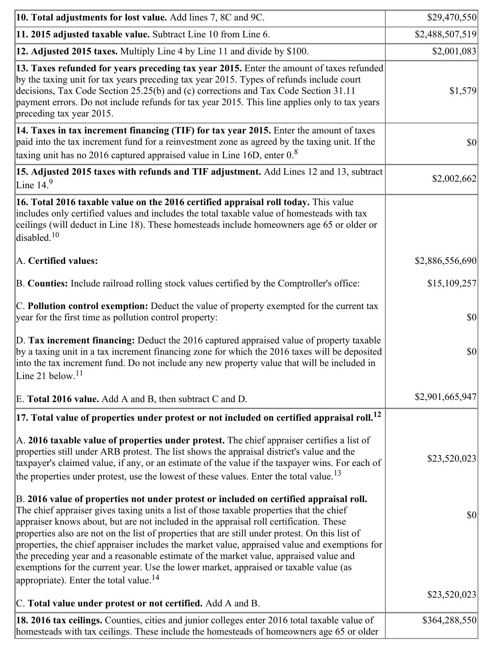| 10. Total adjustments for lost value. Add lines 7, 8C and 9C.                                                                                                                                                                                                                                                                                                                                                                                                                                                                                                                                                                                                                                                            | \$29,470,550    |
|--------------------------------------------------------------------------------------------------------------------------------------------------------------------------------------------------------------------------------------------------------------------------------------------------------------------------------------------------------------------------------------------------------------------------------------------------------------------------------------------------------------------------------------------------------------------------------------------------------------------------------------------------------------------------------------------------------------------------|-----------------|
| 11. 2015 adjusted taxable value. Subtract Line 10 from Line 6.                                                                                                                                                                                                                                                                                                                                                                                                                                                                                                                                                                                                                                                           | \$2,488,507,519 |
| 12. Adjusted 2015 taxes. Multiply Line 4 by Line 11 and divide by \$100.                                                                                                                                                                                                                                                                                                                                                                                                                                                                                                                                                                                                                                                 | \$2,001,083     |
| 13. Taxes refunded for years preceding tax year 2015. Enter the amount of taxes refunded<br>by the taxing unit for tax years preceding tax year 2015. Types of refunds include court<br>decisions, Tax Code Section 25.25(b) and (c) corrections and Tax Code Section 31.11<br>payment errors. Do not include refunds for tax year 2015. This line applies only to tax years<br>preceding tax year 2015.                                                                                                                                                                                                                                                                                                                 | \$1,579         |
| 14. Taxes in tax increment financing (TIF) for tax year 2015. Enter the amount of taxes<br>paid into the tax increment fund for a reinvestment zone as agreed by the taxing unit. If the<br>taxing unit has no 2016 captured appraised value in Line 16D, enter $0.8$                                                                                                                                                                                                                                                                                                                                                                                                                                                    | \$0             |
| 15. Adjusted 2015 taxes with refunds and TIF adjustment. Add Lines 12 and 13, subtract<br>Line $149$                                                                                                                                                                                                                                                                                                                                                                                                                                                                                                                                                                                                                     | \$2,002,662     |
| 16. Total 2016 taxable value on the 2016 certified appraisal roll today. This value<br>includes only certified values and includes the total taxable value of homesteads with tax<br>ceilings (will deduct in Line 18). These homesteads include homeowners age 65 or older or<br>disabled. <sup>10</sup>                                                                                                                                                                                                                                                                                                                                                                                                                |                 |
| A. Certified values:                                                                                                                                                                                                                                                                                                                                                                                                                                                                                                                                                                                                                                                                                                     | \$2,886,556,690 |
| B. Counties: Include railroad rolling stock values certified by the Comptroller's office:                                                                                                                                                                                                                                                                                                                                                                                                                                                                                                                                                                                                                                | \$15,109,257    |
| C. Pollution control exemption: Deduct the value of property exempted for the current tax<br>year for the first time as pollution control property:                                                                                                                                                                                                                                                                                                                                                                                                                                                                                                                                                                      | \$0             |
| D. Tax increment financing: Deduct the 2016 captured appraised value of property taxable<br>by a taxing unit in a tax increment financing zone for which the 2016 taxes will be deposited<br>into the tax increment fund. Do not include any new property value that will be included in<br>Line 21 below. <sup>11</sup>                                                                                                                                                                                                                                                                                                                                                                                                 | \$0             |
| E. Total 2016 value. Add A and B, then subtract C and D.                                                                                                                                                                                                                                                                                                                                                                                                                                                                                                                                                                                                                                                                 | \$2,901,665,947 |
| $ 17.$ Total value of properties under protest or not included on certified appraisal roll. $^{12}$                                                                                                                                                                                                                                                                                                                                                                                                                                                                                                                                                                                                                      |                 |
| A. 2016 taxable value of properties under protest. The chief appraiser certifies a list of<br>properties still under ARB protest. The list shows the appraisal district's value and the<br>taxpayer's claimed value, if any, or an estimate of the value if the taxpayer wins. For each of<br>the properties under protest, use the lowest of these values. Enter the total value. <sup>13</sup>                                                                                                                                                                                                                                                                                                                         | \$23,520,023    |
| B. 2016 value of properties not under protest or included on certified appraisal roll.<br>The chief appraiser gives taxing units a list of those taxable properties that the chief<br>appraiser knows about, but are not included in the appraisal roll certification. These<br>properties also are not on the list of properties that are still under protest. On this list of<br>properties, the chief appraiser includes the market value, appraised value and exemptions for<br>the preceding year and a reasonable estimate of the market value, appraised value and<br>exemptions for the current year. Use the lower market, appraised or taxable value (as<br>appropriate). Enter the total value. <sup>14</sup> | \$0             |
| C. Total value under protest or not certified. Add A and B.                                                                                                                                                                                                                                                                                                                                                                                                                                                                                                                                                                                                                                                              | \$23,520,023    |
| 18. 2016 tax ceilings. Counties, cities and junior colleges enter 2016 total taxable value of<br>homesteads with tax ceilings. These include the homesteads of homeowners age 65 or older                                                                                                                                                                                                                                                                                                                                                                                                                                                                                                                                | \$364,288,550   |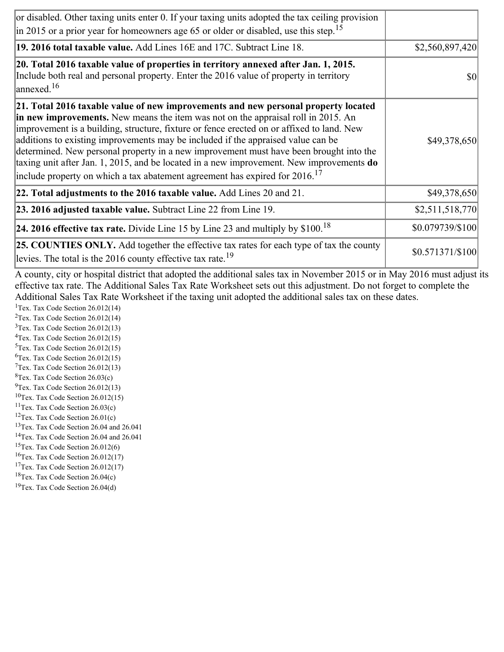| or disabled. Other taxing units enter 0. If your taxing units adopted the tax ceiling provision<br>$\left  \text{in } 2015 \text{ or a prior year for home owners age } 65 \text{ or older or disabled, use this step.} \right ^{15}$                                                                                                                                                                                                                                                                                                                                                                                                        |                  |
|----------------------------------------------------------------------------------------------------------------------------------------------------------------------------------------------------------------------------------------------------------------------------------------------------------------------------------------------------------------------------------------------------------------------------------------------------------------------------------------------------------------------------------------------------------------------------------------------------------------------------------------------|------------------|
| 19. 2016 total taxable value. Add Lines 16E and 17C. Subtract Line 18.                                                                                                                                                                                                                                                                                                                                                                                                                                                                                                                                                                       | \$2,560,897,420  |
| 20. Total 2016 taxable value of properties in territory annexed after Jan. 1, 2015.<br>Include both real and personal property. Enter the 2016 value of property in territory<br>$\vert$ annexed. <sup>16</sup>                                                                                                                                                                                                                                                                                                                                                                                                                              | \$0              |
| 21. Total 2016 taxable value of new improvements and new personal property located<br>in new improvements. New means the item was not on the appraisal roll in 2015. An<br>improvement is a building, structure, fixture or fence erected on or affixed to land. New<br>additions to existing improvements may be included if the appraised value can be<br>determined. New personal property in a new improvement must have been brought into the<br>taxing unit after Jan. 1, 2015, and be located in a new improvement. New improvements do<br>include property on which a tax abatement agreement has expired for $2016$ . <sup>17</sup> | \$49,378,650     |
| 22. Total adjustments to the 2016 taxable value. Add Lines 20 and 21.                                                                                                                                                                                                                                                                                                                                                                                                                                                                                                                                                                        | \$49,378,650     |
| 23. 2016 adjusted taxable value. Subtract Line 22 from Line 19.                                                                                                                                                                                                                                                                                                                                                                                                                                                                                                                                                                              | \$2,511,518,770  |
| <b>24. 2016 effective tax rate.</b> Divide Line 15 by Line 23 and multiply by $$100$ . <sup>18</sup>                                                                                                                                                                                                                                                                                                                                                                                                                                                                                                                                         | \$0.079739/\$100 |
| <b>25. COUNTIES ONLY.</b> Add together the effective tax rates for each type of tax the county<br>levies. The total is the $2016$ county effective tax rate. <sup>19</sup>                                                                                                                                                                                                                                                                                                                                                                                                                                                                   | \$0.571371/\$100 |

A county, city or hospital district that adopted the additional sales tax in November 2015 or in May 2016 must adjust its effective tax rate. The Additional Sales Tax Rate Worksheet sets out this adjustment. Do not forget to complete the Additional Sales Tax Rate Worksheet if the taxing unit adopted the additional sales tax on these dates.

<sup>1</sup>Tex. Tax Code Section  $26.012(14)$ <sup>2</sup>Tex. Tax Code Section  $26.012(14)$  $3$ Tex. Tax Code Section 26.012(13)  ${}^{4}$ Tex. Tax Code Section 26.012(15)  $5$ Tex. Tax Code Section 26.012(15)  ${}^{6}$ Tex. Tax Code Section 26.012(15)  $7$ Tex. Tax Code Section 26.012(13)  ${}^{8}$ Tex. Tax Code Section 26.03(c)

- $^{9}$ Tex. Tax Code Section 26.012(13)
- $10$ Tex. Tax Code Section 26.012(15)
- <sup>11</sup>Tex. Tax Code Section  $26.03(c)$
- <sup>12</sup>Tex. Tax Code Section  $26.01(c)$
- <sup>13</sup>Tex. Tax Code Section 26.04 and 26.041
- <sup>14</sup>Tex. Tax Code Section 26.04 and 26.041
- $15$ Tex. Tax Code Section 26.012(6)
- <sup>16</sup>Tex. Tax Code Section  $26.012(17)$
- <sup>17</sup>Tex. Tax Code Section  $26.012(17)$
- ${}^{18}$ Tex. Tax Code Section 26.04(c)
- <sup>19</sup>Tex. Tax Code Section 26.04(d)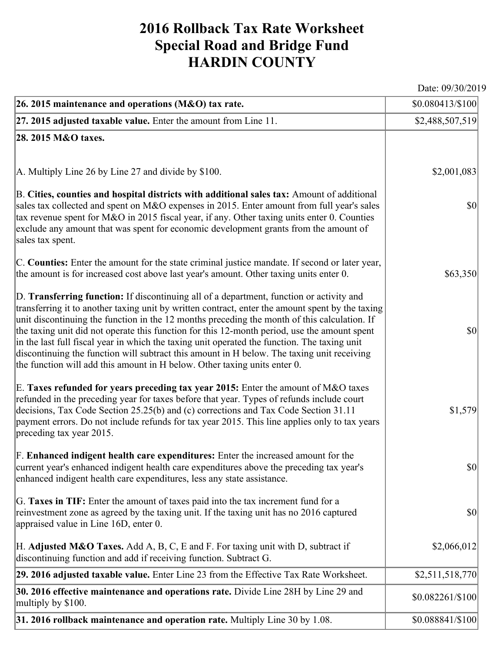## **2016 Rollback Tax Rate Worksheet Special Road and Bridge Fund HARDIN COUNTY**

Date: 09/30/2019

| 26. 2015 maintenance and operations (M&O) tax rate.                                                                                                                                                                                                                                                                                                                                                                                                                                                                                                                                                                                                                     | \$0.080413/\$100]                   |
|-------------------------------------------------------------------------------------------------------------------------------------------------------------------------------------------------------------------------------------------------------------------------------------------------------------------------------------------------------------------------------------------------------------------------------------------------------------------------------------------------------------------------------------------------------------------------------------------------------------------------------------------------------------------------|-------------------------------------|
| $ 27.2015$ adjusted taxable value. Enter the amount from Line 11.                                                                                                                                                                                                                                                                                                                                                                                                                                                                                                                                                                                                       | \$2,488,507,519                     |
| 28. 2015 M&O taxes.                                                                                                                                                                                                                                                                                                                                                                                                                                                                                                                                                                                                                                                     |                                     |
|                                                                                                                                                                                                                                                                                                                                                                                                                                                                                                                                                                                                                                                                         |                                     |
| $ A$ . Multiply Line 26 by Line 27 and divide by \$100.                                                                                                                                                                                                                                                                                                                                                                                                                                                                                                                                                                                                                 | \$2,001,083                         |
| B. Cities, counties and hospital districts with additional sales tax: Amount of additional<br>sales tax collected and spent on M&O expenses in 2015. Enter amount from full year's sales<br>tax revenue spent for M&O in 2015 fiscal year, if any. Other taxing units enter 0. Counties<br>exclude any amount that was spent for economic development grants from the amount of<br>sales tax spent.                                                                                                                                                                                                                                                                     | $ 10\rangle$                        |
| C. Counties: Enter the amount for the state criminal justice mandate. If second or later year,<br>the amount is for increased cost above last year's amount. Other taxing units enter 0.                                                                                                                                                                                                                                                                                                                                                                                                                                                                                | \$63,350                            |
| D. Transferring function: If discontinuing all of a department, function or activity and<br>transferring it to another taxing unit by written contract, enter the amount spent by the taxing<br>unit discontinuing the function in the 12 months preceding the month of this calculation. If<br>the taxing unit did not operate this function for this 12-month period, use the amount spent<br>in the last full fiscal year in which the taxing unit operated the function. The taxing unit<br>discontinuing the function will subtract this amount in H below. The taxing unit receiving<br>the function will add this amount in H below. Other taxing units enter 0. | $ 10\rangle$                        |
| E. Taxes refunded for years preceding tax year 2015: Enter the amount of M&O taxes<br>refunded in the preceding year for taxes before that year. Types of refunds include court<br>decisions, Tax Code Section 25.25(b) and (c) corrections and Tax Code Section 31.11<br>payment errors. Do not include refunds for tax year 2015. This line applies only to tax years<br>preceding tax year 2015.                                                                                                                                                                                                                                                                     | \$1,579                             |
| F. Enhanced indigent health care expenditures: Enter the increased amount for the<br>current year's enhanced indigent health care expenditures above the preceding tax year's<br>enhanced indigent health care expenditures, less any state assistance.                                                                                                                                                                                                                                                                                                                                                                                                                 | $\vert \mathbf{S} \mathbf{O} \vert$ |
| G. Taxes in TIF: Enter the amount of taxes paid into the tax increment fund for a<br>reinvestment zone as agreed by the taxing unit. If the taxing unit has no 2016 captured<br>appraised value in Line 16D, enter 0.                                                                                                                                                                                                                                                                                                                                                                                                                                                   | $ 10\rangle$                        |
| [H. Adjusted M&O Taxes. Add A, B, C, E and F. For taxing unit with D, subtract if<br>discontinuing function and add if receiving function. Subtract G.                                                                                                                                                                                                                                                                                                                                                                                                                                                                                                                  | \$2,066,012                         |
| 29. 2016 adjusted taxable value. Enter Line 23 from the Effective Tax Rate Worksheet.                                                                                                                                                                                                                                                                                                                                                                                                                                                                                                                                                                                   | \$2,511,518,770                     |
| 30. 2016 effective maintenance and operations rate. Divide Line 28H by Line 29 and<br>multiply by \$100.                                                                                                                                                                                                                                                                                                                                                                                                                                                                                                                                                                | \$0.082261/\$100                    |
| 31. 2016 rollback maintenance and operation rate. Multiply Line 30 by 1.08.                                                                                                                                                                                                                                                                                                                                                                                                                                                                                                                                                                                             | \$0.088841/\$100                    |